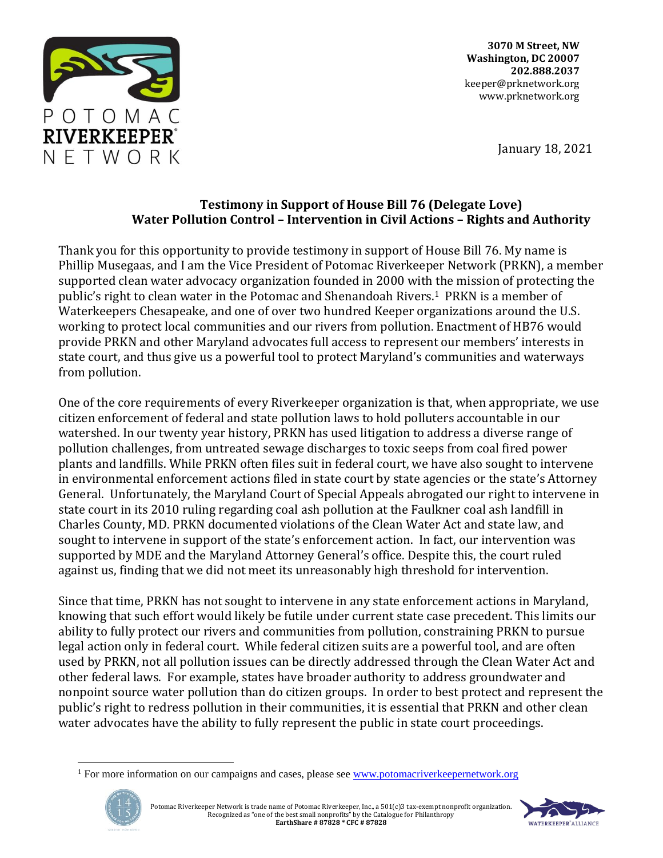

**3070 M Street, NW Washington, DC 20007 202.888.2037** keeper@prknetwork.org www.prknetwork.org

January 18, 2021

## **Testimony in Support of House Bill 76 (Delegate Love) Water Pollution Control – Intervention in Civil Actions – Rights and Authority**

Thank you for this opportunity to provide testimony in support of House Bill 76. My name is Phillip Musegaas, and I am the Vice President of Potomac Riverkeeper Network (PRKN), a member supported clean water advocacy organization founded in 2000 with the mission of protecting the public's right to clean water in the Potomac and Shenandoah Rivers.1 PRKN is a member of Waterkeepers Chesapeake, and one of over two hundred Keeper organizations around the U.S. working to protect local communities and our rivers from pollution. Enactment of HB76 would provide PRKN and other Maryland advocates full access to represent our members' interests in state court, and thus give us a powerful tool to protect Maryland's communities and waterways from pollution.

One of the core requirements of every Riverkeeper organization is that, when appropriate, we use citizen enforcement of federal and state pollution laws to hold polluters accountable in our watershed. In our twenty year history, PRKN has used litigation to address a diverse range of pollution challenges, from untreated sewage discharges to toxic seeps from coal fired power plants and landfills. While PRKN often files suit in federal court, we have also sought to intervene in environmental enforcement actions filed in state court by state agencies or the state's Attorney General. Unfortunately, the Maryland Court of Special Appeals abrogated our right to intervene in state court in its 2010 ruling regarding coal ash pollution at the Faulkner coal ash landfill in Charles County, MD. PRKN documented violations of the Clean Water Act and state law, and sought to intervene in support of the state's enforcement action. In fact, our intervention was supported by MDE and the Maryland Attorney General's office. Despite this, the court ruled against us, finding that we did not meet its unreasonably high threshold for intervention.

Since that time, PRKN has not sought to intervene in any state enforcement actions in Maryland, knowing that such effort would likely be futile under current state case precedent. This limits our ability to fully protect our rivers and communities from pollution, constraining PRKN to pursue legal action only in federal court. While federal citizen suits are a powerful tool, and are often used by PRKN, not all pollution issues can be directly addressed through the Clean Water Act and other federal laws. For example, states have broader authority to address groundwater and nonpoint source water pollution than do citizen groups. In order to best protect and represent the public's right to redress pollution in their communities, it is essential that PRKN and other clean water advocates have the ability to fully represent the public in state court proceedings.

<sup>&</sup>lt;sup>1</sup> For more information on our campaigns and cases, please see [www.potomacriverkeepernetwork.org](http://www.potomacriverkeepernetwork.org/)